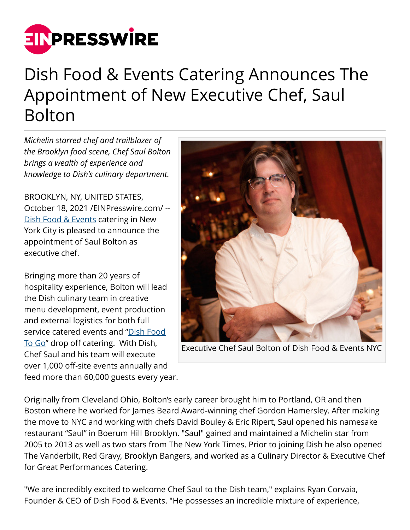

## Dish Food & Events Catering Announces The Appointment of New Executive Chef, Saul Bolton

*Michelin starred chef and trailblazer of the Brooklyn food scene, Chef Saul Bolton brings a wealth of experience and knowledge to Dish's culinary department.*

BROOKLYN, NY, UNITED STATES, October 18, 2021 [/EINPresswire.com](http://www.einpresswire.com)/ -- [Dish Food & Events](https://www.dishfoodnyc.com/) catering in New York City is pleased to announce the appointment of Saul Bolton as executive chef.

Bringing more than 20 years of hospitality experience, Bolton will lead the Dish culinary team in creative menu development, event production and external logistics for both full service catered events and ["Dish Food](https://www.dishfoodnyc.com/dish-food-to-go) [To Go](https://www.dishfoodnyc.com/dish-food-to-go)" drop off catering. With Dish, Chef Saul and his team will execute over 1,000 off-site events annually and feed more than 60,000 guests every year.



Executive Chef Saul Bolton of Dish Food & Events NYC

Originally from Cleveland Ohio, Bolton's early career brought him to Portland, OR and then Boston where he worked for James Beard Award-winning chef Gordon Hamersley. After making the move to NYC and working with chefs David Bouley & Eric Ripert, Saul opened his namesake restaurant "Saul" in Boerum Hill Brooklyn. "Saul" gained and maintained a Michelin star from 2005 to 2013 as well as two stars from The New York Times. Prior to joining Dish he also opened The Vanderbilt, Red Gravy, Brooklyn Bangers, and worked as a Culinary Director & Executive Chef for Great Performances Catering.

"We are incredibly excited to welcome Chef Saul to the Dish team," explains Ryan Corvaia, Founder & CEO of Dish Food & Events. "He possesses an incredible mixture of experience,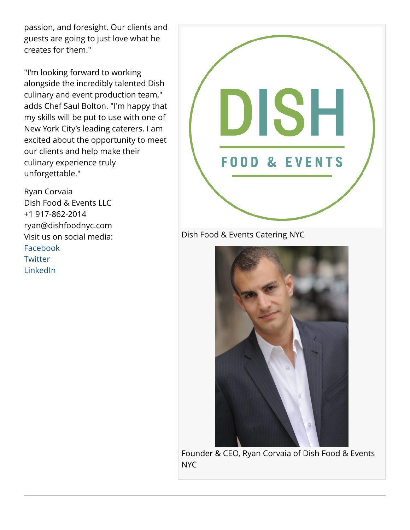passion, and foresight. Our clients and guests are going to just love what he creates for them."

"I'm looking forward to working alongside the incredibly talented Dish culinary and event production team," adds Chef Saul Bolton. "I'm happy that my skills will be put to use with one of New York City's leading caterers. I am excited about the opportunity to meet our clients and help make their culinary experience truly unforgettable."

Ryan Corvaia Dish Food & Events LLC +1 917-862-2014 ryan@dishfoodnyc.com Visit us on social media: [Facebook](https://www.facebook.com/dishfoodnyc) **[Twitter](https://twitter.com/dishfoodnyc)** [LinkedIn](https://www.linkedin.com/company/dish-food-&-events-llc)



Dish Food & Events Catering NYC



Founder & CEO, Ryan Corvaia of Dish Food & Events NYC